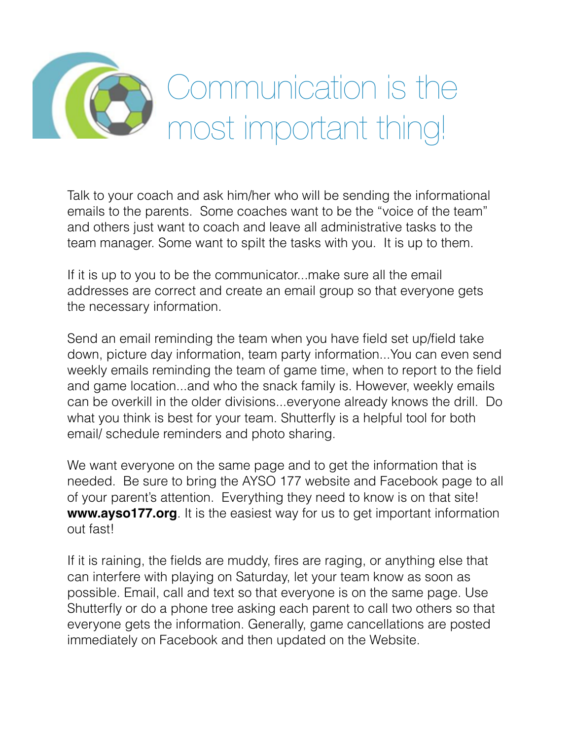

Talk to your coach and ask him/her who will be sending the informational emails to the parents. Some coaches want to be the "voice of the team" and others just want to coach and leave all administrative tasks to the team manager. Some want to spilt the tasks with you. It is up to them.

If it is up to you to be the communicator...make sure all the email addresses are correct and create an email group so that everyone gets the necessary information.

Send an email reminding the team when you have field set up/field take down, picture day information, team party information...You can even send weekly emails reminding the team of game time, when to report to the field and game location...and who the snack family is. However, weekly emails can be overkill in the older divisions...everyone already knows the drill. Do what you think is best for your team. Shutterfly is a helpful tool for both email/ schedule reminders and photo sharing.

We want everyone on the same page and to get the information that is needed. Be sure to bring the AYSO 177 website and Facebook page to all of your parent's attention. Everything they need to know is on that site! **[www.ayso177.org](http://www.ayso177.org/)**. It is the easiest way for us to get important information out fast!

If it is raining, the fields are muddy, fires are raging, or anything else that can interfere with playing on Saturday, let your team know as soon as possible. Email, call and text so that everyone is on the same page. Use Shutterfly or do a phone tree asking each parent to call two others so that everyone gets the information. Generally, game cancellations are posted immediately on Facebook and then updated on the Website.